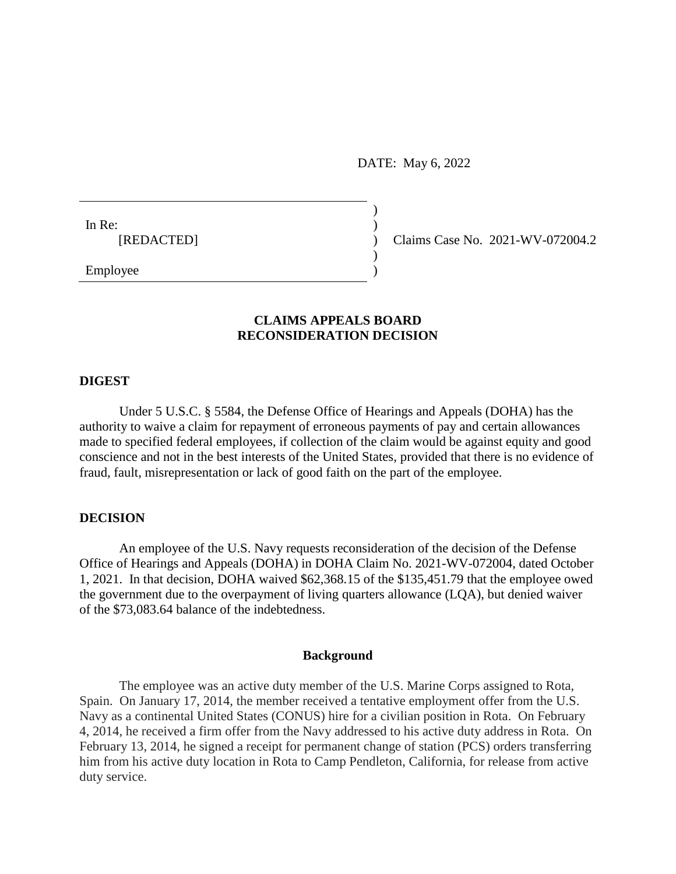DATE: May 6, 2022

)

)

In Re:  $\qquad \qquad$ )

[REDACTED] ) Claims Case No. 2021-WV-072004.2

Employee )

# **CLAIMS APPEALS BOARD RECONSIDERATION DECISION**

### **DIGEST**

Under 5 U.S.C. § 5584, the Defense Office of Hearings and Appeals (DOHA) has the authority to waive a claim for repayment of erroneous payments of pay and certain allowances made to specified federal employees, if collection of the claim would be against equity and good conscience and not in the best interests of the United States, provided that there is no evidence of fraud, fault, misrepresentation or lack of good faith on the part of the employee.

## **DECISION**

An employee of the U.S. Navy requests reconsideration of the decision of the Defense Office of Hearings and Appeals (DOHA) in DOHA Claim No. 2021-WV-072004, dated October 1, 2021. In that decision, DOHA waived [\\$62,368.15](https://62,368.15) of the [\\$135,451.79](https://135,451.79) that the employee owed the government due to the overpayment of living quarters allowance (LQA), but denied waiver of the \$[73,083.64](https://73,083.64) balance of the indebtedness.

#### **Background**

The employee was an active duty member of the U.S. Marine Corps assigned to Rota, Spain. On January 17, 2014, the member received a tentative employment offer from the U.S. Navy as a continental United States (CONUS) hire for a civilian position in Rota. On February 4, 2014, he received a firm offer from the Navy addressed to his active duty address in Rota. On February 13, 2014, he signed a receipt for permanent change of station (PCS) orders transferring him from his active duty location in Rota to Camp Pendleton, California, for release from active duty service.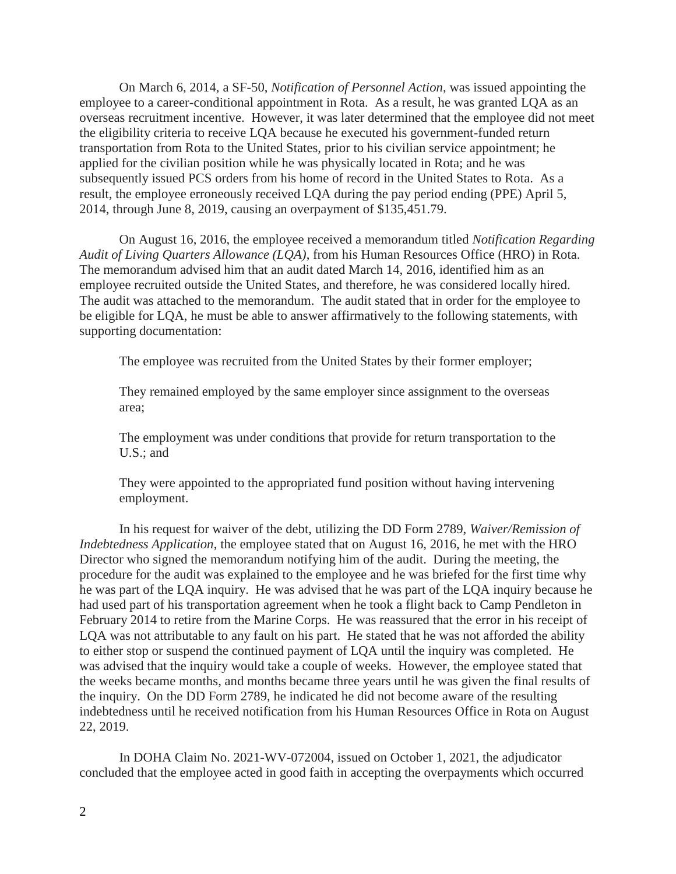On March 6, 2014, a SF-50, *Notification of Personnel Action*, was issued appointing the employee to a career-conditional appointment in Rota. As a result, he was granted LQA as an overseas recruitment incentive. However, it was later determined that the employee did not meet the eligibility criteria to receive LQA because he executed his government-funded return transportation from Rota to the United States, prior to his civilian service appointment; he applied for the civilian position while he was physically located in Rota; and he was subsequently issued PCS orders from his home of record in the United States to Rota. As a result, the employee erroneously received LQA during the pay period ending (PPE) April 5, 2014, through June 8, 2019, causing an overpayment of \$[135,451.79.](https://135,451.79)

On August 16, 2016, the employee received a memorandum titled *Notification Regarding Audit of Living Quarters Allowance (LQA)*, from his Human Resources Office (HRO) in Rota. The memorandum advised him that an audit dated March 14, 2016, identified him as an employee recruited outside the United States, and therefore, he was considered locally hired. The audit was attached to the memorandum. The audit stated that in order for the employee to be eligible for LQA, he must be able to answer affirmatively to the following statements, with supporting documentation:

The employee was recruited from the United States by their former employer;

They remained employed by the same employer since assignment to the overseas area;

The employment was under conditions that provide for return transportation to the U.S.; and

They were appointed to the appropriated fund position without having intervening employment.

In his request for waiver of the debt, utilizing the DD Form 2789, *Waiver/Remission of Indebtedness Application*, the employee stated that on August 16, 2016, he met with the HRO Director who signed the memorandum notifying him of the audit. During the meeting, the procedure for the audit was explained to the employee and he was briefed for the first time why he was part of the LQA inquiry. He was advised that he was part of the LQA inquiry because he had used part of his transportation agreement when he took a flight back to Camp Pendleton in February 2014 to retire from the Marine Corps. He was reassured that the error in his receipt of LQA was not attributable to any fault on his part. He stated that he was not afforded the ability to either stop or suspend the continued payment of LQA until the inquiry was completed. He was advised that the inquiry would take a couple of weeks. However, the employee stated that the weeks became months, and months became three years until he was given the final results of the inquiry. On the DD Form 2789, he indicated he did not become aware of the resulting indebtedness until he received notification from his Human Resources Office in Rota on August 22, 2019.

In DOHA Claim No. 2021-WV-072004, issued on October 1, 2021, the adjudicator concluded that the employee acted in good faith in accepting the overpayments which occurred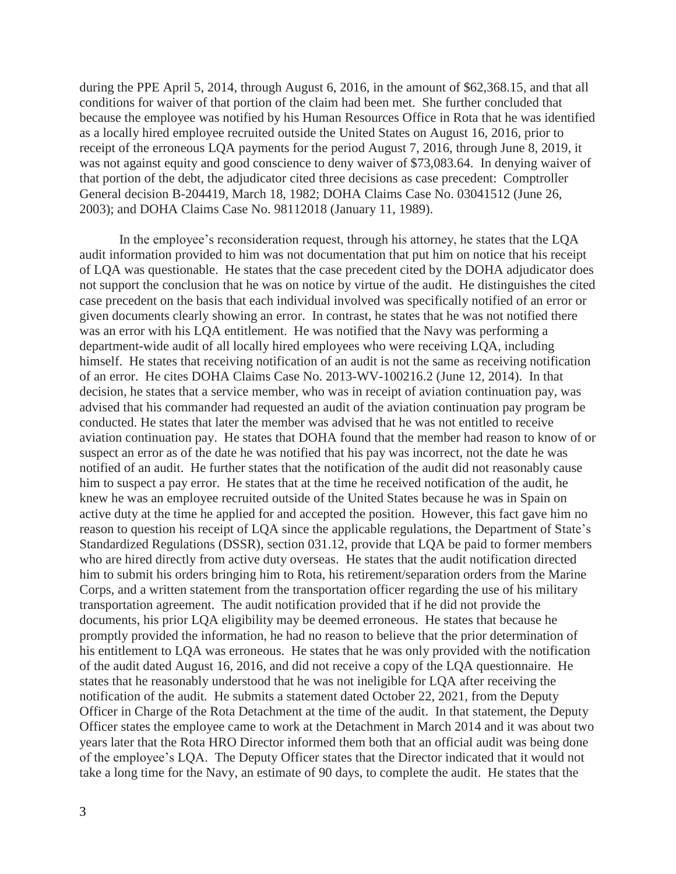during the PPE April 5, 2014, through August 6, 2016, in the amount of [\\$62,368.15](https://62,368.15), and that all conditions for waiver of that portion of the claim had been met. She further concluded that because the employee was notified by his Human Resources Office in Rota that he was identified as a locally hired employee recruited outside the United States on August 16, 2016, prior to receipt of the erroneous LQA payments for the period August 7, 2016, through June 8, 2019, it was not against equity and good conscience to deny waiver of [\\$73,083.64](https://73,083.64). In denying waiver of that portion of the debt, the adjudicator cited three decisions as case precedent: Comptroller General decision B-204419, March 18, 1982; DOHA Claims Case No. 03041512 (June 26, 2003); and DOHA Claims Case No. 98112018 (January 11, 1989).

In the employee's reconsideration request, through his attorney, he states that the LQA audit information provided to him was not documentation that put him on notice that his receipt of LQA was questionable. He states that the case precedent cited by the DOHA adjudicator does not support the conclusion that he was on notice by virtue of the audit. He distinguishes the cited case precedent on the basis that each individual involved was specifically notified of an error or given documents clearly showing an error. In contrast, he states that he was not notified there was an error with his LQA entitlement. He was notified that the Navy was performing a department-wide audit of all locally hired employees who were receiving LQA, including himself. He states that receiving notification of an audit is not the same as receiving notification of an error. He cites DOHA Claims Case No. 2013-WV-100216.2 (June 12, 2014). In that decision, he states that a service member, who was in receipt of aviation continuation pay, was advised that his commander had requested an audit of the aviation continuation pay program be conducted. He states that later the member was advised that he was not entitled to receive aviation continuation pay. He states that DOHA found that the member had reason to know of or suspect an error as of the date he was notified that his pay was incorrect, not the date he was notified of an audit. He further states that the notification of the audit did not reasonably cause him to suspect a pay error. He states that at the time he received notification of the audit, he knew he was an employee recruited outside of the United States because he was in Spain on active duty at the time he applied for and accepted the position. However, this fact gave him no reason to question his receipt of LQA since the applicable regulations, the Department of State's Standardized Regulations (DSSR), section 031.12, provide that LQA be paid to former members who are hired directly from active duty overseas. He states that the audit notification directed him to submit his orders bringing him to Rota, his retirement/separation orders from the Marine Corps, and a written statement from the transportation officer regarding the use of his military transportation agreement. The audit notification provided that if he did not provide the documents, his prior LQA eligibility may be deemed erroneous. He states that because he promptly provided the information, he had no reason to believe that the prior determination of his entitlement to LQA was erroneous. He states that he was only provided with the notification of the audit dated August 16, 2016, and did not receive a copy of the LQA questionnaire. He states that he reasonably understood that he was not ineligible for LQA after receiving the notification of the audit. He submits a statement dated October 22, 2021, from the Deputy Officer in Charge of the Rota Detachment at the time of the audit. In that statement, the Deputy Officer states the employee came to work at the Detachment in March 2014 and it was about two years later that the Rota HRO Director informed them both that an official audit was being done of the employee's LQA. The Deputy Officer states that the Director indicated that it would not take a long time for the Navy, an estimate of 90 days, to complete the audit. He states that the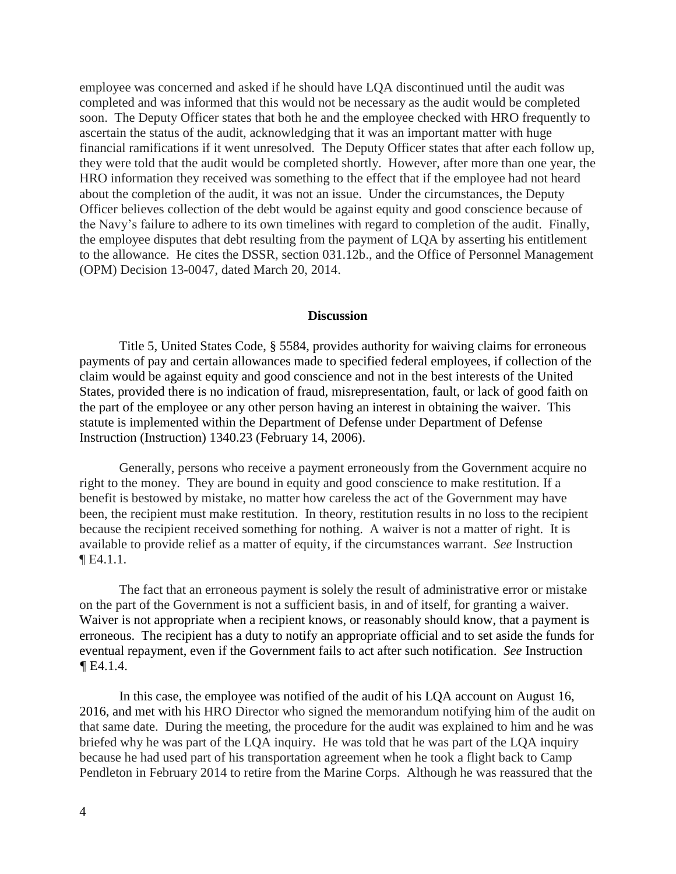employee was concerned and asked if he should have LQA discontinued until the audit was completed and was informed that this would not be necessary as the audit would be completed soon. The Deputy Officer states that both he and the employee checked with HRO frequently to ascertain the status of the audit, acknowledging that it was an important matter with huge financial ramifications if it went unresolved. The Deputy Officer states that after each follow up, they were told that the audit would be completed shortly. However, after more than one year, the HRO information they received was something to the effect that if the employee had not heard about the completion of the audit, it was not an issue. Under the circumstances, the Deputy Officer believes collection of the debt would be against equity and good conscience because of the Navy's failure to adhere to its own timelines with regard to completion of the audit. Finally, the employee disputes that debt resulting from the payment of LQA by asserting his entitlement to the allowance. He cites the DSSR, section 031.12b., and the Office of Personnel Management (OPM) Decision 13-0047, dated March 20, 2014.

### **Discussion**

Title 5, United States Code, § 5584, provides authority for waiving claims for erroneous payments of pay and certain allowances made to specified federal employees, if collection of the claim would be against equity and good conscience and not in the best interests of the United States, provided there is no indication of fraud, misrepresentation, fault, or lack of good faith on the part of the employee or any other person having an interest in obtaining the waiver. This statute is implemented within the Department of Defense under Department of Defense Instruction (Instruction) 1340.23 (February 14, 2006).

Generally, persons who receive a payment erroneously from the Government acquire no right to the money. They are bound in equity and good conscience to make restitution. If a benefit is bestowed by mistake, no matter how careless the act of the Government may have been, the recipient must make restitution. In theory, restitution results in no loss to the recipient because the recipient received something for nothing. A waiver is not a matter of right. It is available to provide relief as a matter of equity, if the circumstances warrant. *See* Instruction ¶ E4.1.1.

The fact that an erroneous payment is solely the result of administrative error or mistake on the part of the Government is not a sufficient basis, in and of itself, for granting a waiver. Waiver is not appropriate when a recipient knows, or reasonably should know, that a payment is erroneous. The recipient has a duty to notify an appropriate official and to set aside the funds for eventual repayment, even if the Government fails to act after such notification. *See* Instruction  $\P$ E4.1.4.

In this case, the employee was notified of the audit of his LQA account on August 16, 2016, and met with his HRO Director who signed the memorandum notifying him of the audit on that same date. During the meeting, the procedure for the audit was explained to him and he was briefed why he was part of the LQA inquiry. He was told that he was part of the LQA inquiry because he had used part of his transportation agreement when he took a flight back to Camp Pendleton in February 2014 to retire from the Marine Corps. Although he was reassured that the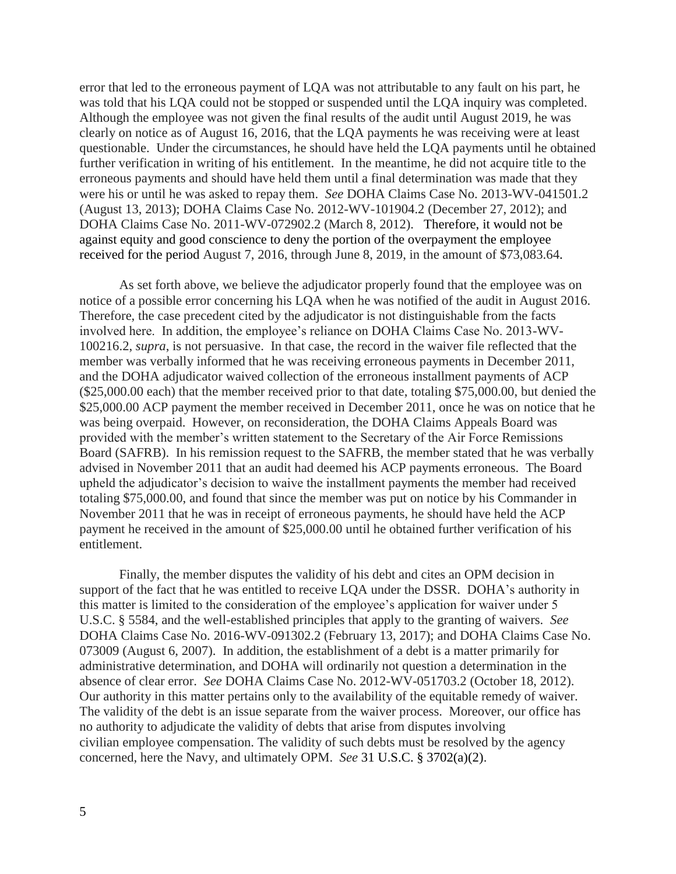error that led to the erroneous payment of LQA was not attributable to any fault on his part, he was told that his LQA could not be stopped or suspended until the LQA inquiry was completed. Although the employee was not given the final results of the audit until August 2019, he was clearly on notice as of August 16, 2016, that the LQA payments he was receiving were at least questionable. Under the circumstances, he should have held the LQA payments until he obtained further verification in writing of his entitlement. In the meantime, he did not acquire title to the erroneous payments and should have held them until a final determination was made that they were his or until he was asked to repay them. *See* DOHA Claims Case No. 2013-WV-041501.2 (August 13, 2013); DOHA Claims Case No. 2012-WV-101904.2 (December 27, 2012); and DOHA Claims Case No. 2011-WV-072902.2 (March 8, 2012). Therefore, it would not be against equity and good conscience to deny the portion of the overpayment the employee received for the period August 7, 2016, through June 8, 2019, in the amount of \$[73,083.64.](https://73,083.64)

As set forth above, we believe the adjudicator properly found that the employee was on notice of a possible error concerning his LQA when he was notified of the audit in August 2016. Therefore, the case precedent cited by the adjudicator is not distinguishable from the facts involved here. In addition, the employee's reliance on DOHA Claims Case No. 2013-WV-100216.2, *supra*, is not persuasive. In that case, the record in the waiver file reflected that the member was verbally informed that he was receiving erroneous payments in December 2011, and the DOHA adjudicator waived collection of the erroneous installment payments of ACP ([\\$25,000.00](https://25,000.00) each) that the member received prior to that date, totaling \$[75,000.00](https://75,000.00), but denied the [\\$25,000.00](https://25,000.00) ACP payment the member received in December 2011, once he was on notice that he was being overpaid. However, on reconsideration, the DOHA Claims Appeals Board was provided with the member's written statement to the Secretary of the Air Force Remissions Board (SAFRB). In his remission request to the SAFRB, the member stated that he was verbally advised in November 2011 that an audit had deemed his ACP payments erroneous. The Board upheld the adjudicator's decision to waive the installment payments the member had received totaling \$[75,000.00,](https://75,000.00) and found that since the member was put on notice by his Commander in November 2011 that he was in receipt of erroneous payments, he should have held the ACP payment he received in the amount of [\\$25,000.00](https://25,000.00) until he obtained further verification of his entitlement.

Finally, the member disputes the validity of his debt and cites an OPM decision in support of the fact that he was entitled to receive LQA under the DSSR. DOHA's authority in this matter is limited to the consideration of the employee's application for waiver under 5 U.S.C. § 5584, and the well-established principles that apply to the granting of waivers. *See*  DOHA Claims Case No. 2016-WV-091302.2 (February 13, 2017); and DOHA Claims Case No. 073009 (August 6, 2007). In addition, the establishment of a debt is a matter primarily for administrative determination, and DOHA will ordinarily not question a determination in the absence of clear error. *See* DOHA Claims Case No. 2012-WV-051703.2 (October 18, 2012). Our authority in this matter pertains only to the availability of the equitable remedy of waiver. The validity of the debt is an issue separate from the waiver process. Moreover, our office has no authority to adjudicate the validity of debts that arise from disputes involving civilian employee compensation. The validity of such debts must be resolved by the agency concerned, here the Navy, and ultimately OPM. *See* [31 U.S.C. § 3702\(a\)\(2\).](https://1.next.westlaw.com/Link/Document/FullText?findType=L&pubNum=1000546&cite=31USCAS3702&originatingDoc=I8d72d86bf77011e698dc8b09b4f043e0&refType=RB&originationContext=document&transitionType=DocumentItem&ppcid=a6a21e5b3d4f4fd98816d1683b33ab03&contextData=(sc.Search)#co_pp_d86d0000be040)